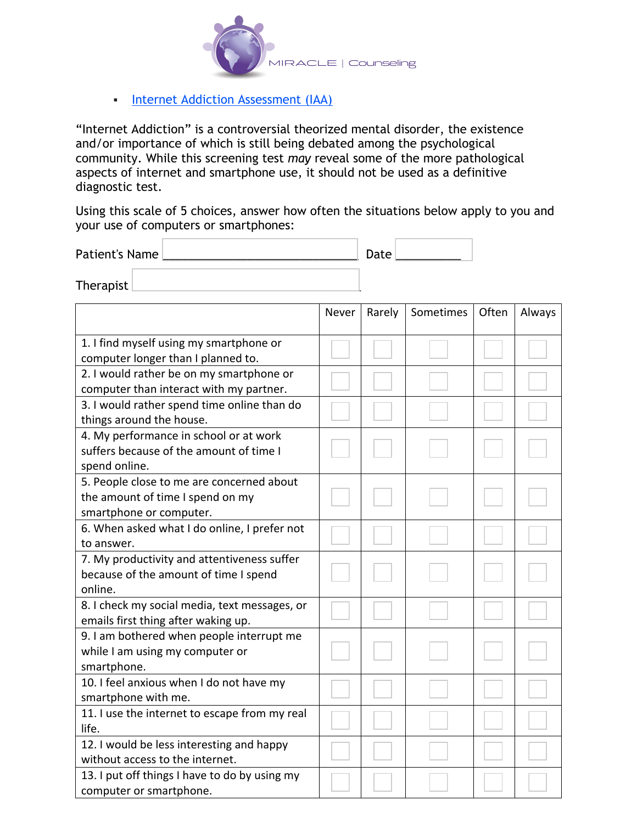

**Internet Addiction Assessment (IAA)** 

"Internet Addiction" is a controversial theorized mental disorder, the existence and/or importance of which is still being debated among the psychological community. While this screening test *may* reveal some of the more pathological aspects of internet and smartphone use, it should not be used as a definitive diagnostic test.

Using this scale of 5 choices, answer how often the situations below apply to you and your use of computers or smartphones:

| Patient's Name |  | Date |  |
|----------------|--|------|--|
| Therapist      |  |      |  |

|                                               | Never | Rarely | Sometimes | Often | Always |
|-----------------------------------------------|-------|--------|-----------|-------|--------|
| 1. I find myself using my smartphone or       |       |        |           |       |        |
| computer longer than I planned to.            |       |        |           |       |        |
| 2. I would rather be on my smartphone or      |       |        |           |       |        |
| computer than interact with my partner.       |       |        |           |       |        |
| 3. I would rather spend time online than do   |       |        |           |       |        |
| things around the house.                      |       |        |           |       |        |
| 4. My performance in school or at work        |       |        |           |       |        |
| suffers because of the amount of time I       |       |        |           |       |        |
| spend online.                                 |       |        |           |       |        |
| 5. People close to me are concerned about     |       |        |           |       |        |
| the amount of time I spend on my              |       |        |           |       |        |
| smartphone or computer.                       |       |        |           |       |        |
| 6. When asked what I do online, I prefer not  |       |        |           |       |        |
| to answer.                                    |       |        |           |       |        |
| 7. My productivity and attentiveness suffer   |       |        |           |       |        |
| because of the amount of time I spend         |       |        |           |       |        |
| online.                                       |       |        |           |       |        |
| 8. I check my social media, text messages, or |       |        |           |       |        |
| emails first thing after waking up.           |       |        |           |       |        |
| 9. I am bothered when people interrupt me     |       |        |           |       |        |
| while I am using my computer or               |       |        |           |       |        |
| smartphone.                                   |       |        |           |       |        |
| 10. I feel anxious when I do not have my      |       |        |           |       |        |
| smartphone with me.                           |       |        |           |       |        |
| 11. I use the internet to escape from my real |       |        |           |       |        |
| life.                                         |       |        |           |       |        |
| 12. I would be less interesting and happy     |       |        |           |       |        |
| without access to the internet.               |       |        |           |       |        |
| 13. I put off things I have to do by using my |       |        |           |       |        |
| computer or smartphone.                       |       |        |           |       |        |